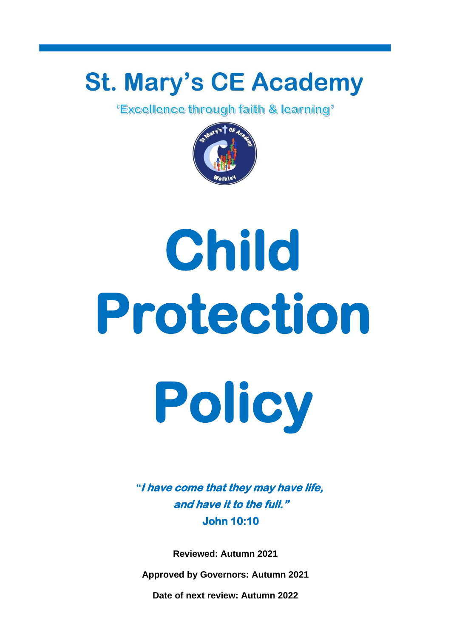## **St. Mary's CE Academy**<br>**Excellence through faith & learning**<sup>\*</sup>



# **Child Protection Policy**

*"***I have come that they may have life, and have it to the full." John 10:10** 

**Reviewed: Autumn 2021**

**Approved by Governors: Autumn 2021**

**Date of next review: Autumn 2022**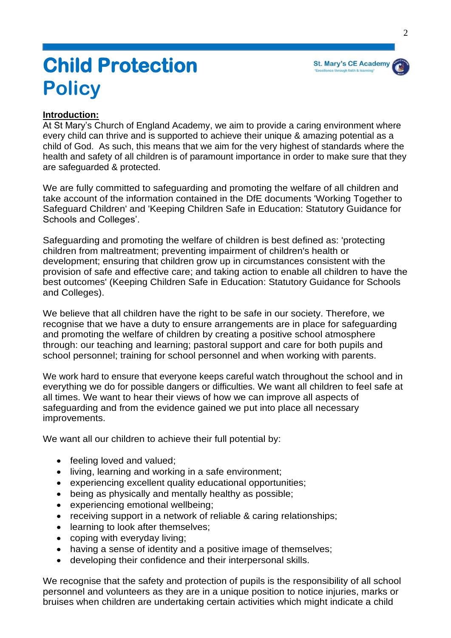

### **Child Protection Policy**

#### **Introduction:**

At St Mary's Church of England Academy, we aim to provide a caring environment where every child can thrive and is supported to achieve their unique & amazing potential as a child of God. As such, this means that we aim for the very highest of standards where the health and safety of all children is of paramount importance in order to make sure that they are safeguarded & protected.

We are fully committed to safeguarding and promoting the welfare of all children and take account of the information contained in the DfE documents 'Working Together to Safeguard Children' and 'Keeping Children Safe in Education: Statutory Guidance for Schools and Colleges'.

Safeguarding and promoting the welfare of children is best defined as: 'protecting children from maltreatment; preventing impairment of children's health or development; ensuring that children grow up in circumstances consistent with the provision of safe and effective care; and taking action to enable all children to have the best outcomes' (Keeping Children Safe in Education: Statutory Guidance for Schools and Colleges).

We believe that all children have the right to be safe in our society. Therefore, we recognise that we have a duty to ensure arrangements are in place for safeguarding and promoting the welfare of children by creating a positive school atmosphere through: our teaching and learning; pastoral support and care for both pupils and school personnel; training for school personnel and when working with parents.

We work hard to ensure that everyone keeps careful watch throughout the school and in everything we do for possible dangers or difficulties. We want all children to feel safe at all times. We want to hear their views of how we can improve all aspects of safeguarding and from the evidence gained we put into place all necessary improvements.

We want all our children to achieve their full potential by:

- feeling loved and valued:
- living, learning and working in a safe environment;
- experiencing excellent quality educational opportunities;
- being as physically and mentally healthy as possible;
- experiencing emotional wellbeing;
- receiving support in a network of reliable & caring relationships;
- learning to look after themselves:
- coping with everyday living;
- having a sense of identity and a positive image of themselves;
- developing their confidence and their interpersonal skills.

We recognise that the safety and protection of pupils is the responsibility of all school personnel and volunteers as they are in a unique position to notice injuries, marks or bruises when children are undertaking certain activities which might indicate a child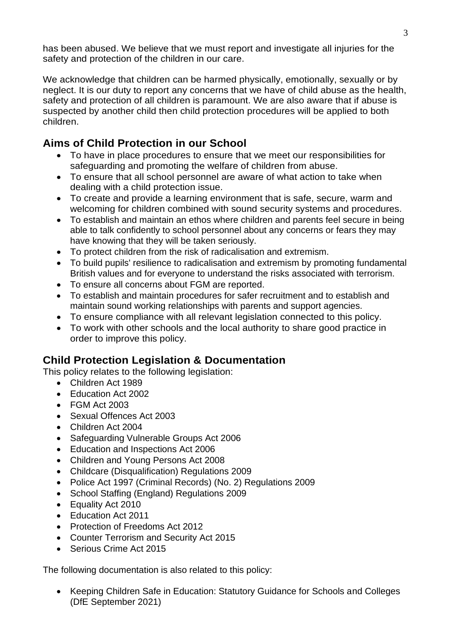has been abused. We believe that we must report and investigate all injuries for the safety and protection of the children in our care.

We acknowledge that children can be harmed physically, emotionally, sexually or by neglect. It is our duty to report any concerns that we have of child abuse as the health, safety and protection of all children is paramount. We are also aware that if abuse is suspected by another child then child protection procedures will be applied to both children.

#### **Aims of Child Protection in our School**

- To have in place procedures to ensure that we meet our responsibilities for safeguarding and promoting the welfare of children from abuse.
- To ensure that all school personnel are aware of what action to take when dealing with a child protection issue.
- To create and provide a learning environment that is safe, secure, warm and welcoming for children combined with sound security systems and procedures.
- To establish and maintain an ethos where children and parents feel secure in being able to talk confidently to school personnel about any concerns or fears they may have knowing that they will be taken seriously.
- To protect children from the risk of radicalisation and extremism.
- To build pupils' resilience to radicalisation and extremism by promoting fundamental British values and for everyone to understand the risks associated with terrorism.
- To ensure all concerns about FGM are reported.
- To establish and maintain procedures for safer recruitment and to establish and maintain sound working relationships with parents and support agencies.
- To ensure compliance with all relevant legislation connected to this policy.
- To work with other schools and the local authority to share good practice in order to improve this policy.

#### **Child Protection Legislation & Documentation**

This policy relates to the following legislation:

- Children Act 1989
- Fducation Act 2002
- FGM Act 2003
- Sexual Offences Act 2003
- Children Act 2004
- Safeguarding Vulnerable Groups Act 2006
- Education and Inspections Act 2006
- Children and Young Persons Act 2008
- Childcare (Disqualification) Regulations 2009
- Police Act 1997 (Criminal Records) (No. 2) Regulations 2009
- School Staffing (England) Regulations 2009
- Equality Act 2010
- Education Act 2011
- Protection of Freedoms Act 2012
- Counter Terrorism and Security Act 2015
- Serious Crime Act 2015

The following documentation is also related to this policy:

• Keeping Children Safe in Education: Statutory Guidance for Schools and Colleges (DfE September 2021)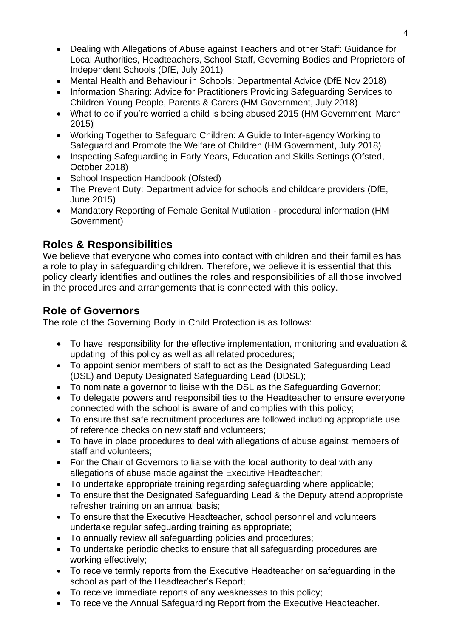- Dealing with Allegations of Abuse against Teachers and other Staff: Guidance for Local Authorities, Headteachers, School Staff, Governing Bodies and Proprietors of Independent Schools (DfE, July 2011)
- Mental Health and Behaviour in Schools: Departmental Advice (DfE Nov 2018)
- Information Sharing: Advice for Practitioners Providing Safeguarding Services to Children Young People, Parents & Carers (HM Government, July 2018)
- What to do if you're worried a child is being abused 2015 (HM Government, March 2015)
- Working Together to Safeguard Children: A Guide to Inter-agency Working to Safeguard and Promote the Welfare of Children (HM Government, July 2018)
- Inspecting Safeguarding in Early Years, Education and Skills Settings (Ofsted, October 2018)
- School Inspection Handbook (Ofsted)
- The Prevent Duty: Department advice for schools and childcare providers (DfE, June 2015)
- Mandatory Reporting of Female Genital Mutilation procedural information (HM Government)

#### **Roles & Responsibilities**

We believe that everyone who comes into contact with children and their families has a role to play in safeguarding children. Therefore, we believe it is essential that this policy clearly identifies and outlines the roles and responsibilities of all those involved in the procedures and arrangements that is connected with this policy.

#### **Role of Governors**

The role of the Governing Body in Child Protection is as follows:

- To have responsibility for the effective implementation, monitoring and evaluation & updating of this policy as well as all related procedures;
- To appoint senior members of staff to act as the Designated Safeguarding Lead (DSL) and Deputy Designated Safeguarding Lead (DDSL);
- To nominate a governor to liaise with the DSL as the Safeguarding Governor;
- To delegate powers and responsibilities to the Headteacher to ensure everyone connected with the school is aware of and complies with this policy;
- To ensure that safe recruitment procedures are followed including appropriate use of reference checks on new staff and volunteers;
- To have in place procedures to deal with allegations of abuse against members of staff and volunteers;
- For the Chair of Governors to liaise with the local authority to deal with any allegations of abuse made against the Executive Headteacher;
- To undertake appropriate training regarding safeguarding where applicable;
- To ensure that the Designated Safeguarding Lead & the Deputy attend appropriate refresher training on an annual basis;
- To ensure that the Executive Headteacher, school personnel and volunteers undertake regular safeguarding training as appropriate;
- To annually review all safeguarding policies and procedures;
- To undertake periodic checks to ensure that all safeguarding procedures are working effectively;
- To receive termly reports from the Executive Headteacher on safeguarding in the school as part of the Headteacher's Report;
- To receive immediate reports of any weaknesses to this policy;
- To receive the Annual Safeguarding Report from the Executive Headteacher.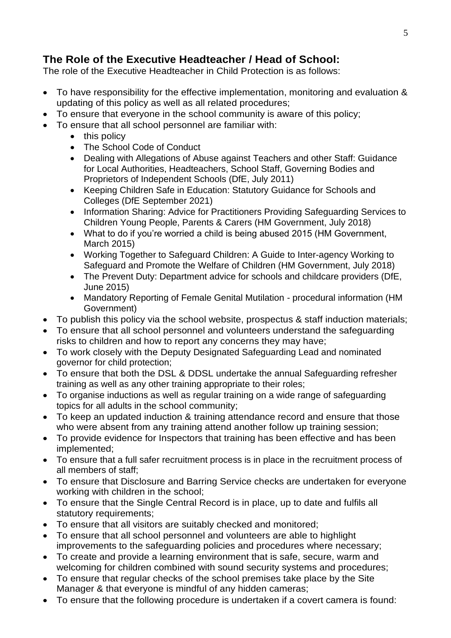#### **The Role of the Executive Headteacher / Head of School:**

The role of the Executive Headteacher in Child Protection is as follows:

- To have responsibility for the effective implementation, monitoring and evaluation & updating of this policy as well as all related procedures;
- To ensure that everyone in the school community is aware of this policy;
- To ensure that all school personnel are familiar with:
	- this policy
	- The School Code of Conduct
	- Dealing with Allegations of Abuse against Teachers and other Staff: Guidance for Local Authorities, Headteachers, School Staff, Governing Bodies and Proprietors of Independent Schools (DfE, July 2011)
	- Keeping Children Safe in Education: Statutory Guidance for Schools and Colleges (DfE September 2021)
	- Information Sharing: Advice for Practitioners Providing Safeguarding Services to Children Young People, Parents & Carers (HM Government, July 2018)
	- What to do if you're worried a child is being abused 2015 (HM Government, March 2015)
	- Working Together to Safeguard Children: A Guide to Inter-agency Working to Safeguard and Promote the Welfare of Children (HM Government, July 2018)
	- The Prevent Duty: Department advice for schools and childcare providers (DfE, June 2015)
	- Mandatory Reporting of Female Genital Mutilation procedural information (HM Government)
- To publish this policy via the school website, prospectus & staff induction materials;
- To ensure that all school personnel and volunteers understand the safeguarding risks to children and how to report any concerns they may have;
- To work closely with the Deputy Designated Safeguarding Lead and nominated governor for child protection;
- To ensure that both the DSL & DDSL undertake the annual Safeguarding refresher training as well as any other training appropriate to their roles;
- To organise inductions as well as regular training on a wide range of safeguarding topics for all adults in the school community;
- To keep an updated induction & training attendance record and ensure that those who were absent from any training attend another follow up training session;
- To provide evidence for Inspectors that training has been effective and has been implemented;
- To ensure that a full safer recruitment process is in place in the recruitment process of all members of staff;
- To ensure that Disclosure and Barring Service checks are undertaken for everyone working with children in the school;
- To ensure that the Single Central Record is in place, up to date and fulfils all statutory requirements;
- To ensure that all visitors are suitably checked and monitored;
- To ensure that all school personnel and volunteers are able to highlight improvements to the safeguarding policies and procedures where necessary;
- To create and provide a learning environment that is safe, secure, warm and welcoming for children combined with sound security systems and procedures;
- To ensure that regular checks of the school premises take place by the Site Manager & that everyone is mindful of any hidden cameras;
- To ensure that the following procedure is undertaken if a covert camera is found: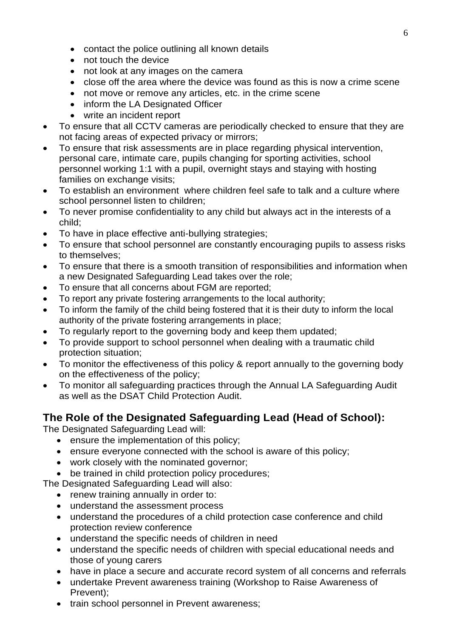- contact the police outlining all known details
- not touch the device
- not look at any images on the camera
- close off the area where the device was found as this is now a crime scene
- not move or remove any articles, etc. in the crime scene
- inform the LA Designated Officer
- write an incident report
- To ensure that all CCTV cameras are periodically checked to ensure that they are not facing areas of expected privacy or mirrors;
- To ensure that risk assessments are in place regarding physical intervention, personal care, intimate care, pupils changing for sporting activities, school personnel working 1:1 with a pupil, overnight stays and staying with hosting families on exchange visits;
- To establish an environment where children feel safe to talk and a culture where school personnel listen to children;
- To never promise confidentiality to any child but always act in the interests of a child;
- To have in place effective anti-bullying strategies;
- To ensure that school personnel are constantly encouraging pupils to assess risks to themselves;
- To ensure that there is a smooth transition of responsibilities and information when a new Designated Safeguarding Lead takes over the role;
- To ensure that all concerns about FGM are reported;
- To report any private fostering arrangements to the local authority;
- To inform the family of the child being fostered that it is their duty to inform the local authority of the private fostering arrangements in place;
- To regularly report to the governing body and keep them updated;
- To provide support to school personnel when dealing with a traumatic child protection situation;
- To monitor the effectiveness of this policy & report annually to the governing body on the effectiveness of the policy;
- To monitor all safeguarding practices through the Annual LA Safeguarding Audit as well as the DSAT Child Protection Audit.

#### **The Role of the Designated Safeguarding Lead (Head of School):**

The Designated Safeguarding Lead will:

- ensure the implementation of this policy;
- ensure everyone connected with the school is aware of this policy;
- work closely with the nominated governor;
- be trained in child protection policy procedures;

The Designated Safeguarding Lead will also:

- renew training annually in order to:
- understand the assessment process
- understand the procedures of a child protection case conference and child protection review conference
- understand the specific needs of children in need
- understand the specific needs of children with special educational needs and those of young carers
- have in place a secure and accurate record system of all concerns and referrals
- undertake Prevent awareness training (Workshop to Raise Awareness of Prevent);
- train school personnel in Prevent awareness;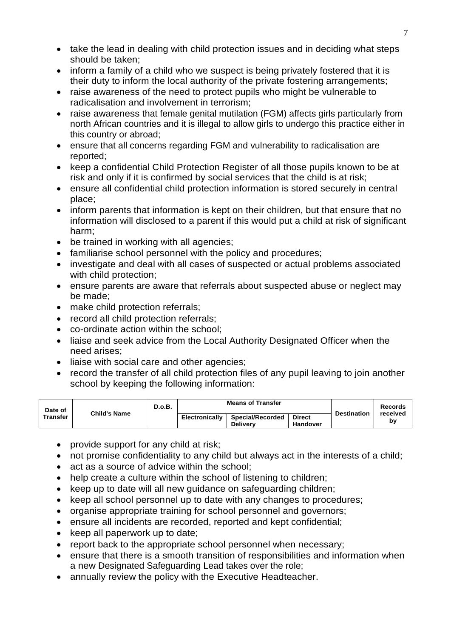- take the lead in dealing with child protection issues and in deciding what steps should be taken;
- inform a family of a child who we suspect is being privately fostered that it is their duty to inform the local authority of the private fostering arrangements;
- raise awareness of the need to protect pupils who might be vulnerable to radicalisation and involvement in terrorism;
- raise awareness that female genital mutilation (FGM) affects girls particularly from north African countries and it is illegal to allow girls to undergo this practice either in this country or abroad;
- ensure that all concerns regarding FGM and vulnerability to radicalisation are reported;
- keep a confidential Child Protection Register of all those pupils known to be at risk and only if it is confirmed by social services that the child is at risk;
- ensure all confidential child protection information is stored securely in central place;
- inform parents that information is kept on their children, but that ensure that no information will disclosed to a parent if this would put a child at risk of significant harm;
- be trained in working with all agencies;
- familiarise school personnel with the policy and procedures:
- investigate and deal with all cases of suspected or actual problems associated with child protection;
- ensure parents are aware that referrals about suspected abuse or neglect may be made;
- make child protection referrals;
- record all child protection referrals;
- co-ordinate action within the school;
- liaise and seek advice from the Local Authority Designated Officer when the need arises;
- liaise with social care and other agencies;
- record the transfer of all child protection files of any pupil leaving to join another school by keeping the following information:

| Date of<br>Transfer | <b>Child's Name</b> | D.o.B. | <b>Means of Transfer</b> |                                            |                                  | <b>Destination</b> | Records        |
|---------------------|---------------------|--------|--------------------------|--------------------------------------------|----------------------------------|--------------------|----------------|
|                     |                     |        | <b>Electronically</b>    | <b>Special/Recorded</b><br><b>Delivery</b> | <b>Direct</b><br><b>Handover</b> |                    | received<br>b٧ |

- provide support for any child at risk;
- not promise confidentiality to any child but always act in the interests of a child;
- act as a source of advice within the school;
- help create a culture within the school of listening to children;
- keep up to date will all new guidance on safeguarding children;
- keep all school personnel up to date with any changes to procedures;
- organise appropriate training for school personnel and governors;
- ensure all incidents are recorded, reported and kept confidential:
- keep all paperwork up to date;
- report back to the appropriate school personnel when necessary;
- ensure that there is a smooth transition of responsibilities and information when a new Designated Safeguarding Lead takes over the role;
- annually review the policy with the Executive Headteacher.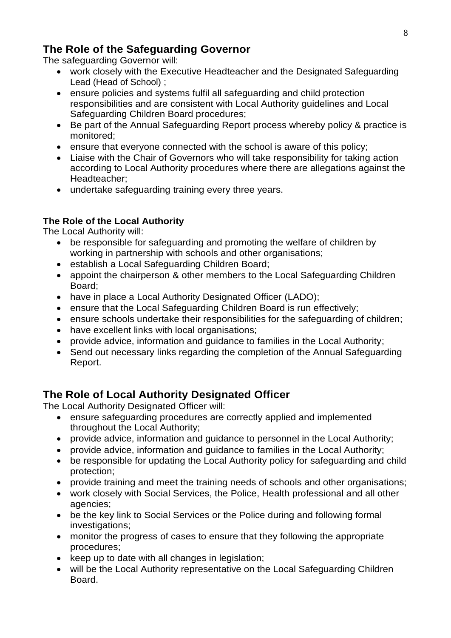#### **The Role of the Safeguarding Governor**

The safeguarding Governor will:

- work closely with the Executive Headteacher and the Designated Safeguarding Lead (Head of School) ;
- ensure policies and systems fulfil all safeguarding and child protection responsibilities and are consistent with Local Authority guidelines and Local Safeguarding Children Board procedures;
- Be part of the Annual Safeguarding Report process whereby policy & practice is monitored;
- ensure that everyone connected with the school is aware of this policy;
- Liaise with the Chair of Governors who will take responsibility for taking action according to Local Authority procedures where there are allegations against the Headteacher;
- undertake safeguarding training every three years.

#### **The Role of the Local Authority**

The Local Authority will:

- be responsible for safeguarding and promoting the welfare of children by working in partnership with schools and other organisations;
- establish a Local Safeguarding Children Board;
- appoint the chairperson & other members to the Local Safeguarding Children Board;
- have in place a Local Authority Designated Officer (LADO);
- ensure that the Local Safeguarding Children Board is run effectively;
- ensure schools undertake their responsibilities for the safeguarding of children;
- have excellent links with local organisations:
- provide advice, information and guidance to families in the Local Authority;
- Send out necessary links regarding the completion of the Annual Safeguarding Report.

#### **The Role of Local Authority Designated Officer**

The Local Authority Designated Officer will:

- ensure safeguarding procedures are correctly applied and implemented throughout the Local Authority;
- provide advice, information and guidance to personnel in the Local Authority;
- provide advice, information and guidance to families in the Local Authority;
- be responsible for updating the Local Authority policy for safeguarding and child protection;
- provide training and meet the training needs of schools and other organisations;
- work closely with Social Services, the Police, Health professional and all other agencies;
- be the key link to Social Services or the Police during and following formal investigations;
- monitor the progress of cases to ensure that they following the appropriate procedures;
- keep up to date with all changes in legislation;
- will be the Local Authority representative on the Local Safeguarding Children Board.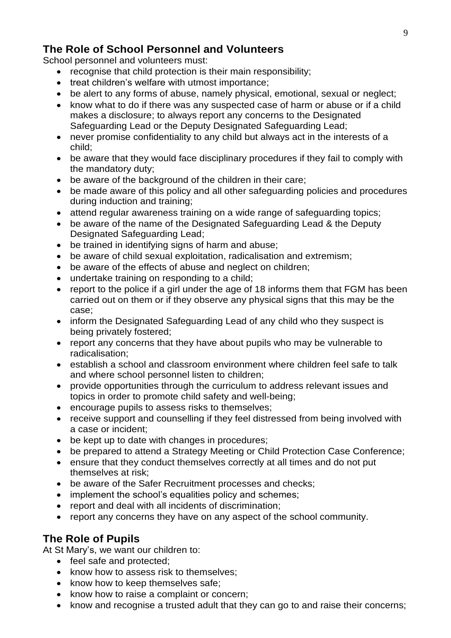#### **The Role of School Personnel and Volunteers**

School personnel and volunteers must:

- recognise that child protection is their main responsibility;
- treat children's welfare with utmost importance;
- be alert to any forms of abuse, namely physical, emotional, sexual or neglect;
- know what to do if there was any suspected case of harm or abuse or if a child makes a disclosure; to always report any concerns to the Designated Safeguarding Lead or the Deputy Designated Safeguarding Lead;
- never promise confidentiality to any child but always act in the interests of a child;
- be aware that they would face disciplinary procedures if they fail to comply with the mandatory duty;
- be aware of the background of the children in their care;
- be made aware of this policy and all other safeguarding policies and procedures during induction and training;
- attend regular awareness training on a wide range of safeguarding topics;
- be aware of the name of the Designated Safeguarding Lead & the Deputy Designated Safeguarding Lead;
- be trained in identifying signs of harm and abuse;
- be aware of child sexual exploitation, radicalisation and extremism;
- be aware of the effects of abuse and neglect on children;
- undertake training on responding to a child;
- report to the police if a girl under the age of 18 informs them that FGM has been carried out on them or if they observe any physical signs that this may be the case;
- inform the Designated Safeguarding Lead of any child who they suspect is being privately fostered;
- report any concerns that they have about pupils who may be vulnerable to radicalisation;
- establish a school and classroom environment where children feel safe to talk and where school personnel listen to children;
- provide opportunities through the curriculum to address relevant issues and topics in order to promote child safety and well-being;
- encourage pupils to assess risks to themselves;
- receive support and counselling if they feel distressed from being involved with a case or incident;
- be kept up to date with changes in procedures;
- be prepared to attend a Strategy Meeting or Child Protection Case Conference;
- ensure that they conduct themselves correctly at all times and do not put themselves at risk;
- be aware of the Safer Recruitment processes and checks;
- implement the school's equalities policy and schemes:
- report and deal with all incidents of discrimination;
- report any concerns they have on any aspect of the school community.

#### **The Role of Pupils**

At St Mary's, we want our children to:

- feel safe and protected:
- know how to assess risk to themselves;
- know how to keep themselves safe;
- know how to raise a complaint or concern;
- know and recognise a trusted adult that they can go to and raise their concerns;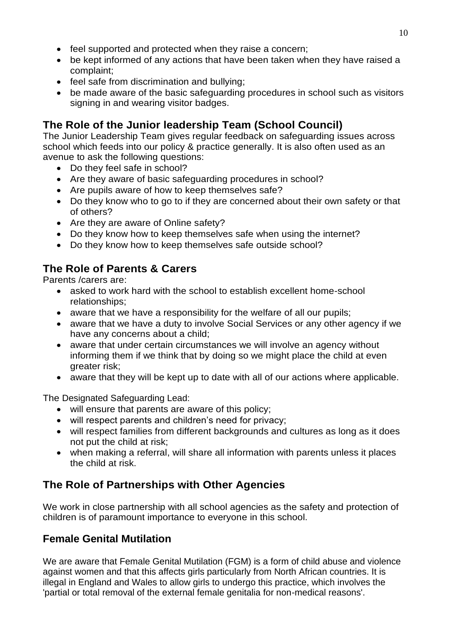- feel supported and protected when they raise a concern;
- be kept informed of any actions that have been taken when they have raised a complaint;
- feel safe from discrimination and bullying;
- be made aware of the basic safeguarding procedures in school such as visitors signing in and wearing visitor badges.

#### **The Role of the Junior leadership Team (School Council)**

The Junior Leadership Team gives regular feedback on safeguarding issues across school which feeds into our policy & practice generally. It is also often used as an avenue to ask the following questions:

- Do they feel safe in school?
- Are they aware of basic safeguarding procedures in school?
- Are pupils aware of how to keep themselves safe?
- Do they know who to go to if they are concerned about their own safety or that of others?
- Are they are aware of Online safety?
- Do they know how to keep themselves safe when using the internet?
- Do they know how to keep themselves safe outside school?

#### **The Role of Parents & Carers**

Parents /carers are:

- asked to work hard with the school to establish excellent home-school relationships;
- aware that we have a responsibility for the welfare of all our pupils;
- aware that we have a duty to involve Social Services or any other agency if we have any concerns about a child;
- aware that under certain circumstances we will involve an agency without informing them if we think that by doing so we might place the child at even greater risk;
- aware that they will be kept up to date with all of our actions where applicable.

The Designated Safeguarding Lead:

- will ensure that parents are aware of this policy;
- will respect parents and children's need for privacy;
- will respect families from different backgrounds and cultures as long as it does not put the child at risk;
- when making a referral, will share all information with parents unless it places the child at risk.

#### **The Role of Partnerships with Other Agencies**

We work in close partnership with all school agencies as the safety and protection of children is of paramount importance to everyone in this school.

#### **Female Genital Mutilation**

We are aware that Female Genital Mutilation (FGM) is a form of child abuse and violence against women and that this affects girls particularly from North African countries. It is illegal in England and Wales to allow girls to undergo this practice, which involves the 'partial or total removal of the external female genitalia for non-medical reasons'.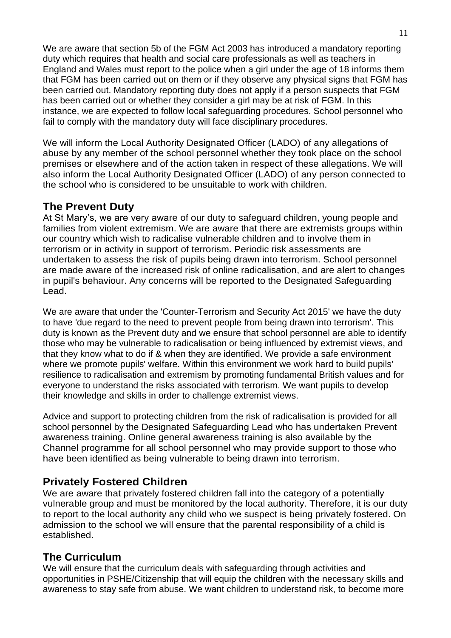We are aware that section 5b of the FGM Act 2003 has introduced a mandatory reporting duty which requires that health and social care professionals as well as teachers in England and Wales must report to the police when a girl under the age of 18 informs them that FGM has been carried out on them or if they observe any physical signs that FGM has been carried out. Mandatory reporting duty does not apply if a person suspects that FGM has been carried out or whether they consider a girl may be at risk of FGM. In this instance, we are expected to follow local safeguarding procedures. School personnel who fail to comply with the mandatory duty will face disciplinary procedures.

We will inform the Local Authority Designated Officer (LADO) of any allegations of abuse by any member of the school personnel whether they took place on the school premises or elsewhere and of the action taken in respect of these allegations. We will also inform the Local Authority Designated Officer (LADO) of any person connected to the school who is considered to be unsuitable to work with children.

#### **The Prevent Duty**

At St Mary's, we are very aware of our duty to safeguard children, young people and families from violent extremism. We are aware that there are extremists groups within our country which wish to radicalise vulnerable children and to involve them in terrorism or in activity in support of terrorism. Periodic risk assessments are undertaken to assess the risk of pupils being drawn into terrorism. School personnel are made aware of the increased risk of online radicalisation, and are alert to changes in pupil's behaviour. Any concerns will be reported to the Designated Safeguarding Lead.

We are aware that under the 'Counter-Terrorism and Security Act 2015' we have the duty to have 'due regard to the need to prevent people from being drawn into terrorism'. This duty is known as the Prevent duty and we ensure that school personnel are able to identify those who may be vulnerable to radicalisation or being influenced by extremist views, and that they know what to do if & when they are identified. We provide a safe environment where we promote pupils' welfare. Within this environment we work hard to build pupils' resilience to radicalisation and extremism by promoting fundamental British values and for everyone to understand the risks associated with terrorism. We want pupils to develop their knowledge and skills in order to challenge extremist views.

Advice and support to protecting children from the risk of radicalisation is provided for all school personnel by the Designated Safeguarding Lead who has undertaken Prevent awareness training. Online general awareness training is also available by the Channel programme for all school personnel who may provide support to those who have been identified as being vulnerable to being drawn into terrorism.

#### **Privately Fostered Children**

We are aware that privately fostered children fall into the category of a potentially vulnerable group and must be monitored by the local authority. Therefore, it is our duty to report to the local authority any child who we suspect is being privately fostered. On admission to the school we will ensure that the parental responsibility of a child is established.

#### **The Curriculum**

We will ensure that the curriculum deals with safeguarding through activities and opportunities in PSHE/Citizenship that will equip the children with the necessary skills and awareness to stay safe from abuse. We want children to understand risk, to become more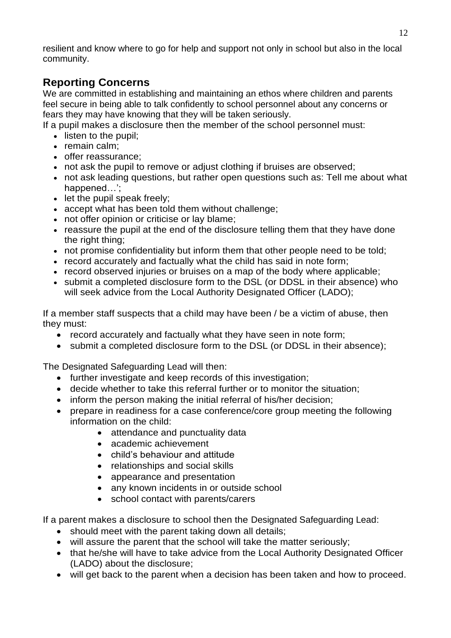resilient and know where to go for help and support not only in school but also in the local community.

#### **Reporting Concerns**

We are committed in establishing and maintaining an ethos where children and parents feel secure in being able to talk confidently to school personnel about any concerns or fears they may have knowing that they will be taken seriously.

If a pupil makes a disclosure then the member of the school personnel must:

- listen to the pupil:
- remain calm;
- offer reassurance;
- not ask the pupil to remove or adiust clothing if bruises are observed:
- not ask leading questions, but rather open questions such as: Tell me about what happened…';
- let the pupil speak freely;
- accept what has been told them without challenge;
- not offer opinion or criticise or lay blame;
- reassure the pupil at the end of the disclosure telling them that they have done the right thing;
- not promise confidentiality but inform them that other people need to be told;
- record accurately and factually what the child has said in note form;
- record observed injuries or bruises on a map of the body where applicable:
- submit a completed disclosure form to the DSL (or DDSL in their absence) who will seek advice from the Local Authority Designated Officer (LADO);

If a member staff suspects that a child may have been / be a victim of abuse, then they must:

- record accurately and factually what they have seen in note form;
- submit a completed disclosure form to the DSL (or DDSL in their absence);

The Designated Safeguarding Lead will then:

- further investigate and keep records of this investigation;
- decide whether to take this referral further or to monitor the situation;
- inform the person making the initial referral of his/her decision;
- prepare in readiness for a case conference/core group meeting the following information on the child:
	- attendance and punctuality data
	- academic achievement
	- child's behaviour and attitude
	- relationships and social skills
	- appearance and presentation
	- any known incidents in or outside school
	- school contact with parents/carers

If a parent makes a disclosure to school then the Designated Safeguarding Lead:

- should meet with the parent taking down all details;
- will assure the parent that the school will take the matter seriously;
- that he/she will have to take advice from the Local Authority Designated Officer (LADO) about the disclosure;
- will get back to the parent when a decision has been taken and how to proceed.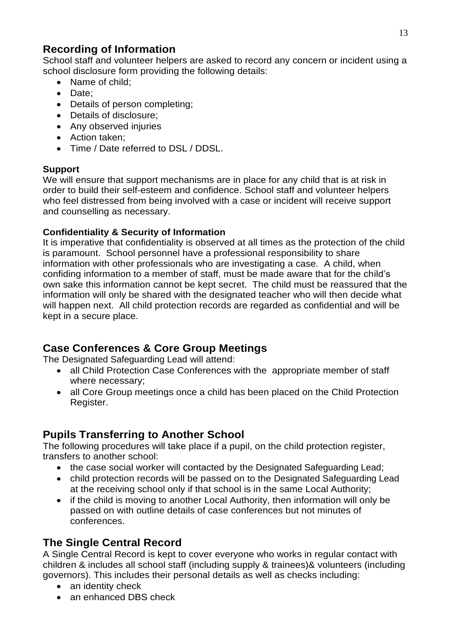#### **Recording of Information**

School staff and volunteer helpers are asked to record any concern or incident using a school disclosure form providing the following details:

- Name of child:
- Date;
- Details of person completing;
- Details of disclosure;
- Any observed injuries
- Action taken;
- Time / Date referred to DSL / DDSL.

#### **Support**

We will ensure that support mechanisms are in place for any child that is at risk in order to build their self-esteem and confidence. School staff and volunteer helpers who feel distressed from being involved with a case or incident will receive support and counselling as necessary.

#### **Confidentiality & Security of Information**

It is imperative that confidentiality is observed at all times as the protection of the child is paramount. School personnel have a professional responsibility to share information with other professionals who are investigating a case. A child, when confiding information to a member of staff, must be made aware that for the child's own sake this information cannot be kept secret. The child must be reassured that the information will only be shared with the designated teacher who will then decide what will happen next. All child protection records are regarded as confidential and will be kept in a secure place.

#### **Case Conferences & Core Group Meetings**

The Designated Safeguarding Lead will attend:

- all Child Protection Case Conferences with the appropriate member of staff where necessary;
- all Core Group meetings once a child has been placed on the Child Protection Register.

#### **Pupils Transferring to Another School**

The following procedures will take place if a pupil, on the child protection register, transfers to another school:

- the case social worker will contacted by the Designated Safeguarding Lead;
- child protection records will be passed on to the Designated Safeguarding Lead at the receiving school only if that school is in the same Local Authority;
- if the child is moving to another Local Authority, then information will only be passed on with outline details of case conferences but not minutes of conferences.

#### **The Single Central Record**

A Single Central Record is kept to cover everyone who works in regular contact with children & includes all school staff (including supply & trainees)& volunteers (including governors). This includes their personal details as well as checks including:

- an identity check
- an enhanced DBS check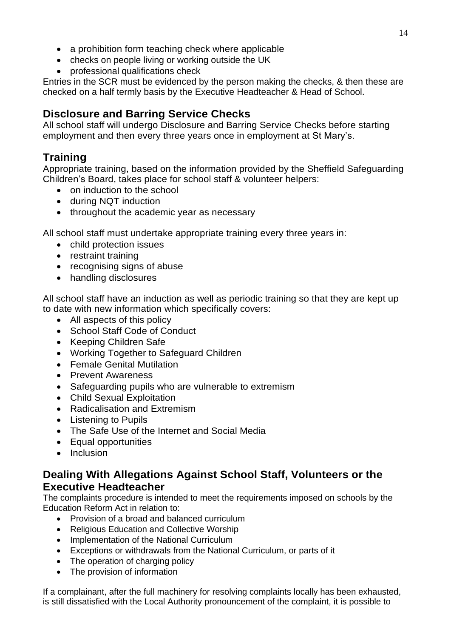- a prohibition form teaching check where applicable
- checks on people living or working outside the UK
- professional qualifications check

Entries in the SCR must be evidenced by the person making the checks, & then these are checked on a half termly basis by the Executive Headteacher & Head of School.

#### **Disclosure and Barring Service Checks**

All school staff will undergo Disclosure and Barring Service Checks before starting employment and then every three years once in employment at St Mary's.

#### **Training**

Appropriate training, based on the information provided by the Sheffield Safeguarding Children's Board, takes place for school staff & volunteer helpers:

- on induction to the school
- during NQT induction
- throughout the academic year as necessary

All school staff must undertake appropriate training every three years in:

- child protection issues
- restraint training
- recognising signs of abuse
- handling disclosures

All school staff have an induction as well as periodic training so that they are kept up to date with new information which specifically covers:

- All aspects of this policy
- School Staff Code of Conduct
- Keeping Children Safe
- Working Together to Safeguard Children
- Female Genital Mutilation
- Prevent Awareness
- Safeguarding pupils who are vulnerable to extremism
- Child Sexual Exploitation
- Radicalisation and Extremism
- Listening to Pupils
- The Safe Use of the Internet and Social Media
- Equal opportunities
- Inclusion

#### **Dealing With Allegations Against School Staff, Volunteers or the Executive Headteacher**

The complaints procedure is intended to meet the requirements imposed on schools by the Education Reform Act in relation to:

- Provision of a broad and balanced curriculum
- Religious Education and Collective Worship
- Implementation of the National Curriculum
- Exceptions or withdrawals from the National Curriculum, or parts of it
- The operation of charging policy
- The provision of information

If a complainant, after the full machinery for resolving complaints locally has been exhausted, is still dissatisfied with the Local Authority pronouncement of the complaint, it is possible to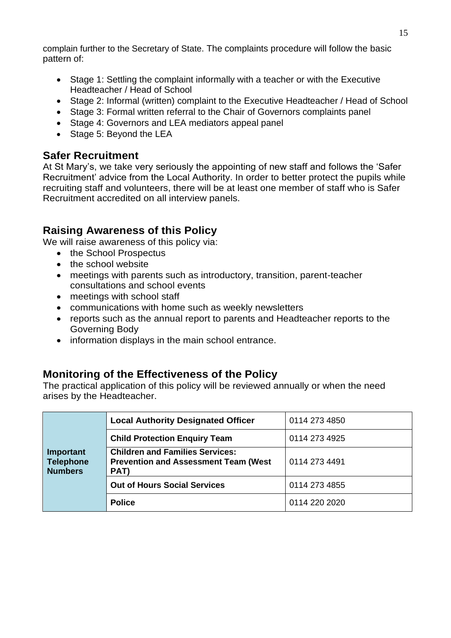complain further to the Secretary of State. The complaints procedure will follow the basic pattern of:

- Stage 1: Settling the complaint informally with a teacher or with the Executive Headteacher / Head of School
- Stage 2: Informal (written) complaint to the Executive Headteacher / Head of School
- Stage 3: Formal written referral to the Chair of Governors complaints panel
- Stage 4: Governors and LEA mediators appeal panel
- Stage 5: Beyond the LEA

#### **Safer Recruitment**

At St Mary's, we take very seriously the appointing of new staff and follows the 'Safer Recruitment' advice from the Local Authority. In order to better protect the pupils while recruiting staff and volunteers, there will be at least one member of staff who is Safer Recruitment accredited on all interview panels.

#### **Raising Awareness of this Policy**

We will raise awareness of this policy via:

- the School Prospectus
- the school website
- meetings with parents such as introductory, transition, parent-teacher consultations and school events
- meetings with school staff
- communications with home such as weekly newsletters
- reports such as the annual report to parents and Headteacher reports to the Governing Body
- information displays in the main school entrance.

#### **Monitoring of the Effectiveness of the Policy**

The practical application of this policy will be reviewed annually or when the need arises by the Headteacher.

|                                                 | <b>Local Authority Designated Officer</b>                                                      | 0114 273 4850 |
|-------------------------------------------------|------------------------------------------------------------------------------------------------|---------------|
|                                                 | <b>Child Protection Enquiry Team</b>                                                           | 0114 273 4925 |
| Important<br><b>Telephone</b><br><b>Numbers</b> | <b>Children and Families Services:</b><br><b>Prevention and Assessment Team (West)</b><br>PAT) | 0114 273 4491 |
|                                                 | <b>Out of Hours Social Services</b>                                                            | 0114 273 4855 |
|                                                 | <b>Police</b>                                                                                  | 0114 220 2020 |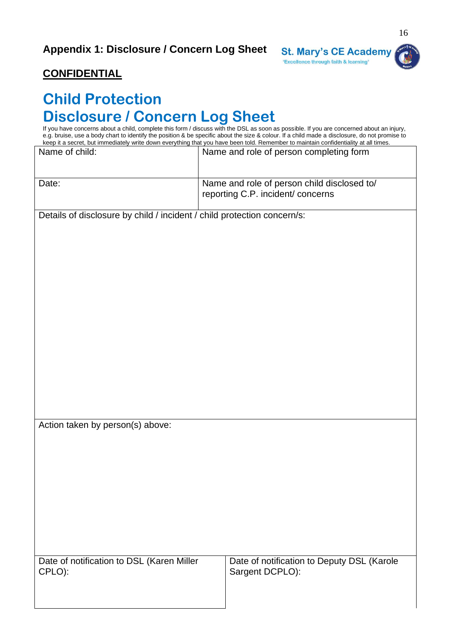

#### **CONFIDENTIAL**

#### **Child Protection Disclosure / Concern Log Sheet**

If you have concerns about a child, complete this form / discuss with the DSL as soon as possible. If you are concerned about an injury, e.g. bruise, use a body chart to identify the position & be specific about the size & colour. If a child made a disclosure, do not promise to keep it a secret, but immediately write down everything that you have been told. Remember to maintain confidentiality at all times.

| Name of child:                                                          | Name and role of person completing form                       |  |
|-------------------------------------------------------------------------|---------------------------------------------------------------|--|
|                                                                         |                                                               |  |
| Date:                                                                   | Name and role of person child disclosed to/                   |  |
|                                                                         | reporting C.P. incident/ concerns                             |  |
| Details of disclosure by child / incident / child protection concern/s: |                                                               |  |
|                                                                         |                                                               |  |
|                                                                         |                                                               |  |
|                                                                         |                                                               |  |
|                                                                         |                                                               |  |
|                                                                         |                                                               |  |
|                                                                         |                                                               |  |
|                                                                         |                                                               |  |
|                                                                         |                                                               |  |
|                                                                         |                                                               |  |
|                                                                         |                                                               |  |
|                                                                         |                                                               |  |
|                                                                         |                                                               |  |
| Action taken by person(s) above:                                        |                                                               |  |
|                                                                         |                                                               |  |
|                                                                         |                                                               |  |
|                                                                         |                                                               |  |
|                                                                         |                                                               |  |
|                                                                         |                                                               |  |
|                                                                         |                                                               |  |
|                                                                         |                                                               |  |
|                                                                         |                                                               |  |
| Date of notification to DSL (Karen Miller<br>CPLO):                     | Date of notification to Deputy DSL (Karole<br>Sargent DCPLO): |  |